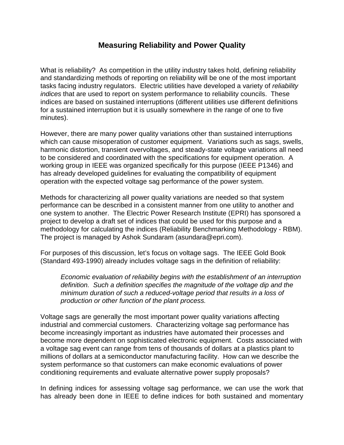## **Measuring Reliability and Power Quality**

What is reliability? As competition in the utility industry takes hold, defining reliability and standardizing methods of reporting on reliability will be one of the most important tasks facing industry regulators. Electric utilities have developed a variety of *reliability indices* that are used to report on system performance to reliability councils. These indices are based on sustained interruptions (different utilities use different definitions for a sustained interruption but it is usually somewhere in the range of one to five minutes).

However, there are many power quality variations other than sustained interruptions which can cause misoperation of customer equipment. Variations such as sags, swells, harmonic distortion, transient overvoltages, and steady-state voltage variations all need to be considered and coordinated with the specifications for equipment operation. A working group in IEEE was organized specifically for this purpose (IEEE P1346) and has already developed guidelines for evaluating the compatibility of equipment operation with the expected voltage sag performance of the power system.

Methods for characterizing all power quality variations are needed so that system performance can be described in a consistent manner from one utility to another and one system to another. The Electric Power Research Institute (EPRI) has sponsored a project to develop a draft set of indices that could be used for this purpose and a methodology for calculating the indices (Reliability Benchmarking Methodology - RBM). The project is managed by Ashok Sundaram (asundara@epri.com).

For purposes of this discussion, let's focus on voltage sags. The IEEE Gold Book (Standard 493-1990) already includes voltage sags in the definition of reliability:

*Economic evaluation of reliability begins with the establishment of an interruption definition. Such a definition specifies the magnitude of the voltage dip and the minimum duration of such a reduced-voltage period that results in a loss of production or other function of the plant process.*

Voltage sags are generally the most important power quality variations affecting industrial and commercial customers. Characterizing voltage sag performance has become increasingly important as industries have automated their processes and become more dependent on sophisticated electronic equipment. Costs associated with a voltage sag event can range from tens of thousands of dollars at a plastics plant to millions of dollars at a semiconductor manufacturing facility. How can we describe the system performance so that customers can make economic evaluations of power conditioning requirements and evaluate alternative power supply proposals?

In defining indices for assessing voltage sag performance, we can use the work that has already been done in IEEE to define indices for both sustained and momentary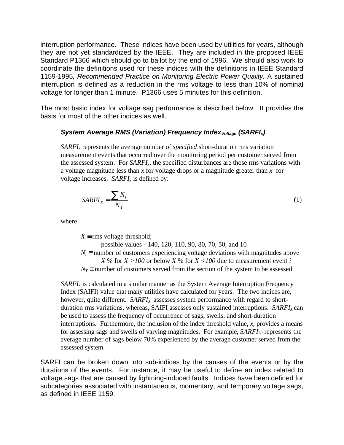interruption performance. These indices have been used by utilities for years, although they are not yet standardized by the IEEE. They are included in the proposed IEEE Standard P1366 which should go to ballot by the end of 1996. We should also work to coordinate the definitions used for these indices with the definitions in IEEE Standard 1159-1995*, Recommended Practice on Monitoring Electric Power Quality.* A sustained interruption is defined as a reduction in the rms voltage to less than 10% of nominal voltage for longer than 1 minute. P1366 uses 5 minutes for this definition.

The most basic index for voltage sag performance is described below. It provides the basis for most of the other indices as well.

## *System Average RMS (Variation) Frequency IndexVoltage (SARFIx)*

*SARFIx* represents the average number of *specified* short-duration rms variation measurement events that occurred over the monitoring period per customer served from the assessed system. For *SARFIx*, the specified disturbances are those rms variations with a voltage magnitude less than *x* for voltage drops or a magnitude greater than *x* for voltage increases. *SARFIx* is defined by:

$$
SARFI_x = \frac{\sum N_i}{N_T} \tag{1}
$$

where

 $X \equiv$  rms voltage threshold; possible values - 140, 120, 110, 90, 80, 70, 50, and 10  $N_i$  ≡ number of customers experiencing voltage deviations with magnitudes above *X* % for  $X > 100$  or below *X* % for  $X < 100$  due to measurement event *i*  $N_T$  ≡ number of customers served from the section of the system to be assessed

*SARFI*<sub>*x*</sub> is calculated in a similar manner as the System Average Interruption Frequency Index (SAIFI) value that many utilities have calculated for years. The two indices are, however, quite different. *SARFIX* assesses system performance with regard to shortduration rms variations, whereas, SAIFI assesses only sustained interruptions. *SARFI*<sub>*X*</sub> can be used to assess the frequency of occurrence of sags, swells, and short-duration interruptions. Furthermore, the inclusion of the index threshold value, *x*, provides a means for assessing sags and swells of varying magnitudes. For example, *SARFI70* represents the average number of sags below 70% experienced by the average customer served from the assessed system.

SARFI can be broken down into sub-indices by the causes of the events or by the durations of the events. For instance, it may be useful to define an index related to voltage sags that are caused by lightning-induced faults. Indices have been defined for subcategories associated with instantaneous, momentary, and temporary voltage sags, as defined in IEEE 1159.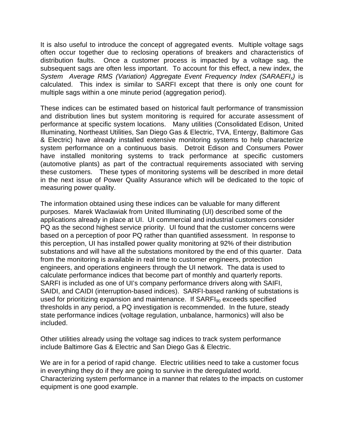It is also useful to introduce the concept of aggregated events. Multiple voltage sags often occur together due to reclosing operations of breakers and characteristics of distribution faults. Once a customer process is impacted by a voltage sag, the subsequent sags are often less important. To account for this effect, a new index, the *System Average RMS (Variation) Aggregate Event Frequency Index (SARAEFIx)* is calculated. This index is similar to SARFI except that there is only one count for multiple sags within a one minute period (aggregation period).

These indices can be estimated based on historical fault performance of transmission and distribution lines but system monitoring is required for accurate assessment of performance at specific system locations. Many utilities (Consolidated Edison, United Illuminating, Northeast Utilities, San Diego Gas & Electric, TVA, Entergy, Baltimore Gas & Electric) have already installed extensive monitoring systems to help characterize system performance on a continuous basis. Detroit Edison and Consumers Power have installed monitoring systems to track performance at specific customers (automotive plants) as part of the contractual requirements associated with serving these customers. These types of monitoring systems will be described in more detail in the next issue of Power Quality Assurance which will be dedicated to the topic of measuring power quality.

The information obtained using these indices can be valuable for many different purposes. Marek Waclawiak from United Illuminating (UI) described some of the applications already in place at UI. UI commercial and industrial customers consider PQ as the second highest service priority. UI found that the customer concerns were based on a perception of poor PQ rather than quantified assessment. In response to this perception, UI has installed power quality monitoring at 92% of their distribution substations and will have all the substations monitored by the end of this quarter. Data from the monitoring is available in real time to customer engineers, protection engineers, and operations engineers through the UI network. The data is used to calculate performance indices that become part of monthly and quarterly reports. SARFI is included as one of UI's company performance drivers along with SAIFI, SAIDI, and CAIDI (interruption-based indices). SARFI-based ranking of substations is used for prioritizing expansion and maintenance. If  $SARFI<sub>90</sub>$  exceeds specified thresholds in any period, a PQ investigation is recommended. In the future, steady state performance indices (voltage regulation, unbalance, harmonics) will also be included.

Other utilities already using the voltage sag indices to track system performance include Baltimore Gas & Electric and San Diego Gas & Electric.

We are in for a period of rapid change. Electric utilities need to take a customer focus in everything they do if they are going to survive in the deregulated world. Characterizing system performance in a manner that relates to the impacts on customer equipment is one good example.